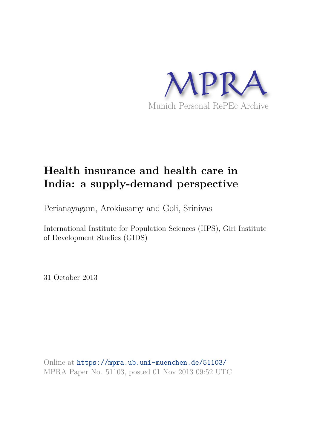

# **Health insurance and health care in India: a supply-demand perspective**

Perianayagam, Arokiasamy and Goli, Srinivas

International Institute for Population Sciences (IIPS), Giri Institute of Development Studies (GIDS)

31 October 2013

Online at https://mpra.ub.uni-muenchen.de/51103/ MPRA Paper No. 51103, posted 01 Nov 2013 09:52 UTC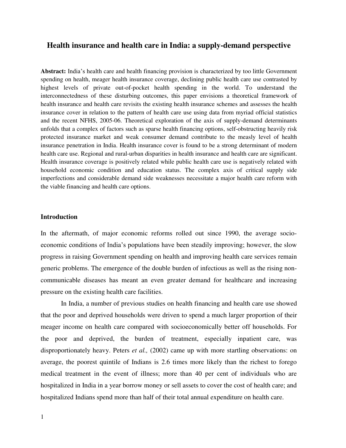# **Health insurance and health care in India: a supply-demand perspective**

**Abstract:** India's health care and health financing provision is characterized by too little Government spending on health, meager health insurance coverage, declining public health care use contrasted by highest levels of private out-of-pocket health spending in the world. To understand the interconnectedness of these disturbing outcomes, this paper envisions a theoretical framework of health insurance and health care revisits the existing health insurance schemes and assesses the health insurance cover in relation to the pattern of health care use using data from myriad official statistics and the recent NFHS, 2005-06. Theoretical exploration of the axis of supply-demand determinants unfolds that a complex of factors such as sparse health financing options, self-obstructing heavily risk protected insurance market and weak consumer demand contribute to the measly level of health insurance penetration in India. Health insurance cover is found to be a strong determinant of modern health care use. Regional and rural-urban disparities in health insurance and health care are significant. Health insurance coverage is positively related while public health care use is negatively related with household economic condition and education status. The complex axis of critical supply side imperfections and considerable demand side weaknesses necessitate a major health care reform with the viable financing and health care options.

#### **Introduction**

In the aftermath, of major economic reforms rolled out since 1990, the average socioeconomic conditions of India's populations have been steadily improving; however, the slow progress in raising Government spending on health and improving health care services remain generic problems. The emergence of the double burden of infectious as well as the rising noncommunicable diseases has meant an even greater demand for healthcare and increasing pressure on the existing health care facilities.

In India, a number of previous studies on health financing and health care use showed that the poor and deprived households were driven to spend a much larger proportion of their meager income on health care compared with socioeconomically better off households. For the poor and deprived, the burden of treatment, especially inpatient care, was disproportionately heavy. Peters *et al.,* (2002) came up with more startling observations: on average, the poorest quintile of Indians is 2.6 times more likely than the richest to forego medical treatment in the event of illness; more than 40 per cent of individuals who are hospitalized in India in a year borrow money or sell assets to cover the cost of health care; and hospitalized Indians spend more than half of their total annual expenditure on health care.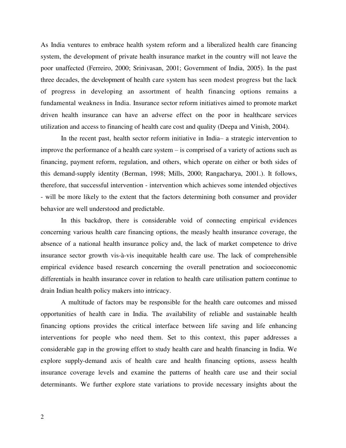As India ventures to embrace health system reform and a liberalized health care financing system, the development of private health insurance market in the country will not leave the poor unaffected (Ferreiro, 2000; Srinivasan, 2001; Government of India, 2005). In the past three decades, the development of health care system has seen modest progress but the lack of progress in developing an assortment of health financing options remains a fundamental weakness in India. Insurance sector reform initiatives aimed to promote market driven health insurance can have an adverse effect on the poor in healthcare services utilization and access to financing of health care cost and quality (Deepa and Vinish, 2004).

In the recent past, health sector reform initiative in India– a strategic intervention to improve the performance of a health care system – is comprised of a variety of actions such as financing, payment reform, regulation, and others, which operate on either or both sides of this demand-supply identity (Berman, 1998; Mills, 2000; Rangacharya, 2001.). It follows, therefore, that successful intervention - intervention which achieves some intended objectives - will be more likely to the extent that the factors determining both consumer and provider behavior are well understood and predictable.

In this backdrop, there is considerable void of connecting empirical evidences concerning various health care financing options, the measly health insurance coverage, the absence of a national health insurance policy and, the lack of market competence to drive insurance sector growth vis-à-vis inequitable health care use. The lack of comprehensible empirical evidence based research concerning the overall penetration and socioeconomic differentials in health insurance cover in relation to health care utilisation pattern continue to drain Indian health policy makers into intricacy.

A multitude of factors may be responsible for the health care outcomes and missed opportunities of health care in India. The availability of reliable and sustainable health financing options provides the critical interface between life saving and life enhancing interventions for people who need them. Set to this context, this paper addresses a considerable gap in the growing effort to study health care and health financing in India. We explore supply-demand axis of health care and health financing options, assess health insurance coverage levels and examine the patterns of health care use and their social determinants. We further explore state variations to provide necessary insights about the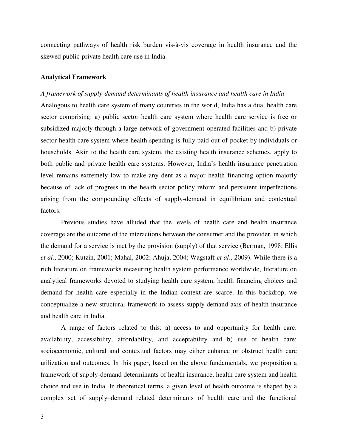connecting pathways of health risk burden vis-à-vis coverage in health insurance and the skewed public-private health care use in India.

#### **Analytical Framework**

#### *A framework of supply-demand determinants of health insurance and health care in India*

Analogous to health care system of many countries in the world, India has a dual health care sector comprising: a) public sector health care system where health care service is free or subsidized majorly through a large network of government-operated facilities and b) private sector health care system where health spending is fully paid out-of-pocket by individuals or households. Akin to the health care system, the existing health insurance schemes, apply to both public and private health care systems. However, India's health insurance penetration level remains extremely low to make any dent as a major health financing option majorly because of lack of progress in the health sector policy reform and persistent imperfections arising from the compounding effects of supply-demand in equilibrium and contextual factors.

Previous studies have alluded that the levels of health care and health insurance coverage are the outcome of the interactions between the consumer and the provider, in which the demand for a service is met by the provision (supply) of that service (Berman, 1998; Ellis *et al.*, 2000; Kutzin, 2001; Mahal, 2002; Ahuja, 2004; Wagstaff *et al*., 2009). While there is a rich literature on frameworks measuring health system performance worldwide, literature on analytical frameworks devoted to studying health care system, health financing choices and demand for health care especially in the Indian context are scarce. In this backdrop, we conceptualize a new structural framework to assess supply-demand axis of health insurance and health care in India.

A range of factors related to this: a) access to and opportunity for health care: availability, accessibility, affordability, and acceptability and b) use of health care: socioeconomic, cultural and contextual factors may either enhance or obstruct health care utilization and outcomes. In this paper, based on the above fundamentals, we proposition a framework of supply-demand determinants of health insurance, health care system and health choice and use in India. In theoretical terms, a given level of health outcome is shaped by a complex set of supply–demand related determinants of health care and the functional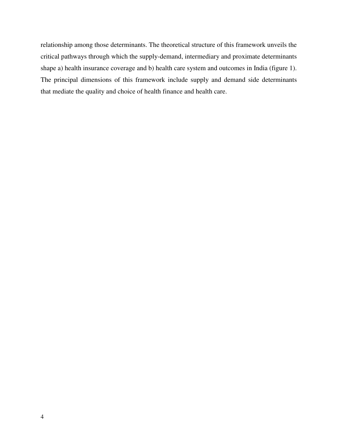relationship among those determinants. The theoretical structure of this framework unveils the critical pathways through which the supply-demand, intermediary and proximate determinants shape a) health insurance coverage and b) health care system and outcomes in India (figure 1). The principal dimensions of this framework include supply and demand side determinants that mediate the quality and choice of health finance and health care.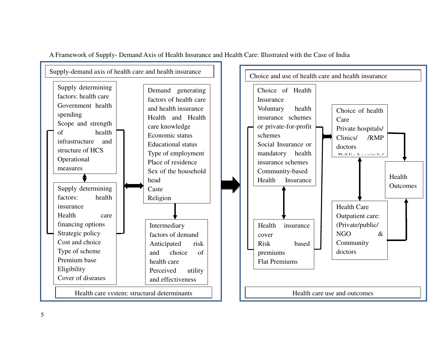

A Framework of Supply- Demand Axis of Health Insurance and Health Care: Illustrated with the Case of India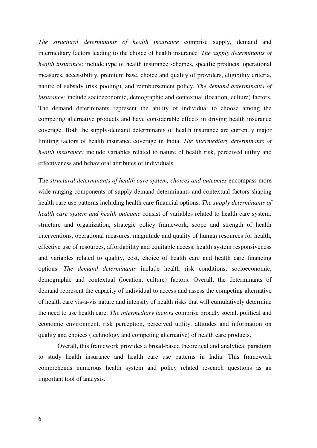*The structural determinants of health insurance* comprise supply, demand and intermediary factors leading to the choice of health insurance*. The supply determinants of health insurance*: include type of health insurance schemes, specific products, operational measures, accessibility, premium base, choice and quality of providers, eligibility criteria, nature of subsidy (risk pooling), and reimbursement policy. *The demand determinants of insurance:* include socioeconomic, demographic and contextual (location, culture) factors. The demand determinants represent the ability of individual to choose among the competing alternative products and have considerable effects in driving health insurance coverage. Both the supply-demand determinants of health insurance are currently major limiting factors of health insurance coverage in India. *The intermediary determinants of health insurance:* include variables related to nature of health risk, perceived utility and effectiveness and behavioral attributes of individuals.

The *structural determinants of health care system, choices and outcomes* encompass more wide-ranging components of supply-demand determinants and contextual factors shaping health care use patterns including health care financial options. *The supply determinants of health care system and health outcome* consist of variables related to health care system: structure and organization, strategic policy framework, scope and strength of health interventions, operational measures, magnitude and quality of human resources for health, effective use of resources, affordability and equitable access, health system responsiveness and variables related to quality, cost, choice of health care and health care financing options. *The demand determinants* include health risk conditions, socioeconomic, demographic and contextual (location, culture) factors. Overall, the determinants of demand represent the capacity of individual to access and assess the competing alternative of health care vis-à-vis nature and intensity of health risks that will cumulatively determine the need to use health care. *The intermediary factors* comprise broadly social, political and economic environment, risk perception, perceived utility, attitudes and information on quality and choices (technology and competing alternative) of health care products.

Overall, this framework provides a broad-based theoretical and analytical paradigm to study health insurance and health care use patterns in India. This framework comprehends numerous health system and policy related research questions as an important tool of analysis.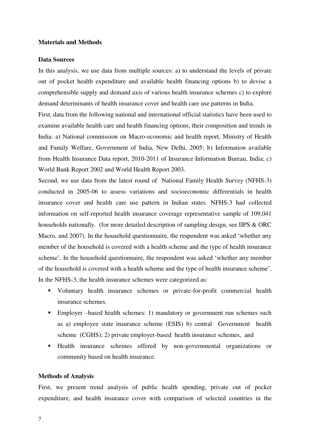## **Materials and Methods**

#### **Data Sources**

In this analysis, we use data from multiple sources: a) to understand the levels of private out of pocket health expenditure and available health financing options b) to devise a comprehensible supply and demand axis of various health insurance schemes c) to explore demand determinants of health insurance cover and health care use patterns in India.

First, data from the following national and international official statistics have been used to examine available health care and health financing options, their composition and trends in India: a) National commission on Macro-economic and health report, Ministry of Health and Family Welfare, Government of India, New Delhi, 2005; b) Information available from Health Insurance Data report, 2010-2011 of Insurance Information Bureau, India; c) World Bank Report 2002 and World Health Report 2003.

Second, we use data from the latest round of National Family Health Survey (NFHS-3) conducted in 2005-06 to assess variations and socioeconomic differentials in health insurance cover and health care use pattern in Indian states. NFHS-3 had collected information on self-reported health insurance coverage representative sample of 109,041 households nationally. (for more detailed description of sampling design, see IIPS & ORC Macro, and 2007). In the household questionnaire, the respondent was asked 'whether any member of the household is covered with a health scheme and the type of health insurance scheme'. In the household questionnaire, the respondent was asked 'whether any member of the household is covered with a health scheme and the type of health insurance scheme'. In the NFHS-3, the health insurance schemes were categorized as:

- Voluntary health insurance schemes or private-for-profit commercial health insurance schemes.
- Employer –based health schemes: 1) mandatory or government run schemes such as a) employee state insurance scheme (ESIS) b) central Government health scheme (CGHS); 2) private employer-based health insurance schemes, and
- Health insurance schemes offered by non-governmental organizations or community based on health insurance.

## **Methods of Analysis**

First, we present trend analysis of public health spending, private out of pocket expenditure, and health insurance cover with comparison of selected countries in the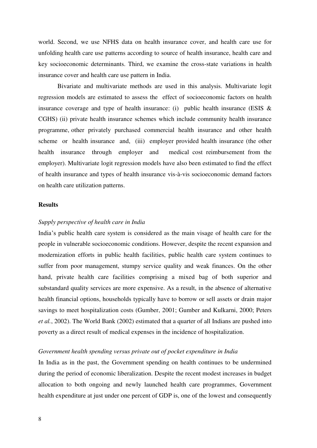world. Second, we use NFHS data on health insurance cover, and health care use for unfolding health care use patterns according to source of health insurance, health care and key socioeconomic determinants. Third, we examine the cross-state variations in health insurance cover and health care use pattern in India.

Bivariate and multivariate methods are used in this analysis. Multivariate logit regression models are estimated to assess the effect of socioeconomic factors on health insurance coverage and type of health insurance: (i) public health insurance (ESIS  $\&$ CGHS) (ii) private health insurance schemes which include community health insurance programme, other privately purchased commercial health insurance and other health scheme or health insurance and, (iii) employer provided health insurance (the other health insurance through employer and medical cost reimbursement from the employer). Multivariate logit regression models have also been estimated to find the effect of health insurance and types of health insurance vis-à-vis socioeconomic demand factors on health care utilization patterns.

#### **Results**

#### *Supply perspective of health care in India*

India's public health care system is considered as the main visage of health care for the people in vulnerable socioeconomic conditions. However, despite the recent expansion and modernization efforts in public health facilities, public health care system continues to suffer from poor management, stumpy service quality and weak finances. On the other hand, private health care facilities comprising a mixed bag of both superior and substandard quality services are more expensive. As a result, in the absence of alternative health financial options, households typically have to borrow or sell assets or drain major savings to meet hospitalization costs (Gumber, 2001; Gumber and Kulkarni, 2000; Peters *et al.*, 2002). The World Bank (2002) estimated that a quarter of all Indians are pushed into poverty as a direct result of medical expenses in the incidence of hospitalization.

### *Government health spending versus private out of pocket expenditure in India*

In India as in the past, the Government spending on health continues to be undermined during the period of economic liberalization. Despite the recent modest increases in budget allocation to both ongoing and newly launched health care programmes, Government health expenditure at just under one percent of GDP is, one of the lowest and consequently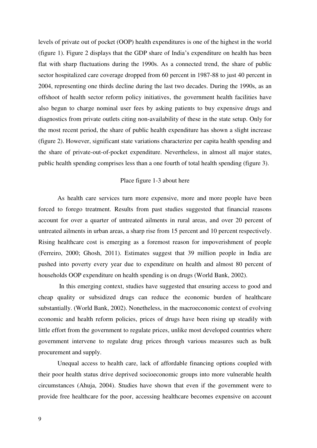levels of private out of pocket (OOP) health expenditures is one of the highest in the world (figure 1). Figure 2 displays that the GDP share of India's expenditure on health has been flat with sharp fluctuations during the 1990s. As a connected trend, the share of public sector hospitalized care coverage dropped from 60 percent in 1987-88 to just 40 percent in 2004, representing one thirds decline during the last two decades. During the 1990s, as an offshoot of health sector reform policy initiatives, the government health facilities have also begun to charge nominal user fees by asking patients to buy expensive drugs and diagnostics from private outlets citing non-availability of these in the state setup. Only for the most recent period, the share of public health expenditure has shown a slight increase (figure 2). However, significant state variations characterize per capita health spending and the share of private-out-of-pocket expenditure. Nevertheless, in almost all major states, public health spending comprises less than a one fourth of total health spending (figure 3).

## Place figure 1-3 about here

As health care services turn more expensive, more and more people have been forced to forego treatment. Results from past studies suggested that financial reasons account for over a quarter of untreated ailments in rural areas, and over 20 percent of untreated ailments in urban areas, a sharp rise from 15 percent and 10 percent respectively. Rising healthcare cost is emerging as a foremost reason for impoverishment of people (Ferreiro, 2000; Ghosh, 2011). Estimates suggest that 39 million people in India are pushed into poverty every year due to expenditure on health and almost 80 percent of households OOP expenditure on health spending is on drugs (World Bank, 2002).

 In this emerging context, studies have suggested that ensuring access to good and cheap quality or subsidized drugs can reduce the economic burden of healthcare substantially. (World Bank, 2002). Nonetheless, in the macroeconomic context of evolving economic and health reform policies, prices of drugs have been rising up steadily with little effort from the government to regulate prices, unlike most developed countries where government intervene to regulate drug prices through various measures such as bulk procurement and supply.

Unequal access to health care, lack of affordable financing options coupled with their poor health status drive deprived socioeconomic groups into more vulnerable health circumstances (Ahuja, 2004). Studies have shown that even if the government were to provide free healthcare for the poor, accessing healthcare becomes expensive on account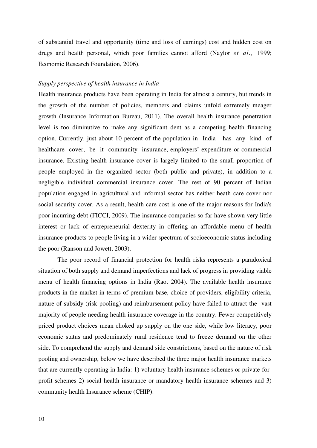of substantial travel and opportunity (time and loss of earnings) cost and hidden cost on drugs and health personal, which poor families cannot afford (Naylor *et al.,* 1999; Economic Research Foundation, 2006).

#### *Supply perspective of health insurance in India*

Health insurance products have been operating in India for almost a century, but trends in the growth of the number of policies, members and claims unfold extremely meager growth (Insurance Information Bureau, 2011). The overall health insurance penetration level is too diminutive to make any significant dent as a competing health financing option. Currently, just about 10 percent of the population in India has any kind of healthcare cover, be it community insurance, employers' expenditure or commercial insurance. Existing health insurance cover is largely limited to the small proportion of people employed in the organized sector (both public and private), in addition to a negligible individual commercial insurance cover. The rest of 90 percent of Indian population engaged in agricultural and informal sector has neither heath care cover nor social security cover. As a result, health care cost is one of the major reasons for India's poor incurring debt (FICCI, 2009). The insurance companies so far have shown very little interest or lack of entrepreneurial dexterity in offering an affordable menu of health insurance products to people living in a wider spectrum of socioeconomic status including the poor (Ranson and Jowett, 2003).

The poor record of financial protection for health risks represents a paradoxical situation of both supply and demand imperfections and lack of progress in providing viable menu of health financing options in India (Rao, 2004). The available health insurance products in the market in terms of premium base, choice of providers, eligibility criteria, nature of subsidy (risk pooling) and reimbursement policy have failed to attract the vast majority of people needing health insurance coverage in the country. Fewer competitively priced product choices mean choked up supply on the one side, while low literacy, poor economic status and predominately rural residence tend to freeze demand on the other side. To comprehend the supply and demand side constrictions, based on the nature of risk pooling and ownership, below we have described the three major health insurance markets that are currently operating in India: 1) voluntary health insurance schemes or private-forprofit schemes 2) social health insurance or mandatory health insurance schemes and 3) community health Insurance scheme (CHIP).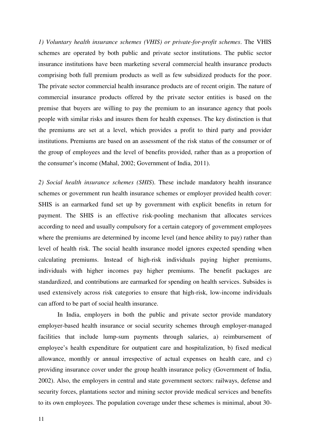*1) Voluntary health insurance schemes (VHIS) or private-for-profit schemes*. The VHIS schemes are operated by both public and private sector institutions. The public sector insurance institutions have been marketing several commercial health insurance products comprising both full premium products as well as few subsidized products for the poor. The private sector commercial health insurance products are of recent origin. The nature of commercial insurance products offered by the private sector entities is based on the premise that buyers are willing to pay the premium to an insurance agency that pools people with similar risks and insures them for health expenses. The key distinction is that the premiums are set at a level, which provides a profit to third party and provider institutions. Premiums are based on an assessment of the risk status of the consumer or of the group of employees and the level of benefits provided, rather than as a proportion of the consumer's income (Mahal, 2002; Government of India, 2011).

*2) Social health insurance schemes (SHIS*). These include mandatory health insurance schemes or government run health insurance schemes or employer provided health cover: SHIS is an earmarked fund set up by government with explicit benefits in return for payment. The SHIS is an effective risk-pooling mechanism that allocates services according to need and usually compulsory for a certain category of government employees where the premiums are determined by income level (and hence ability to pay) rather than level of health risk. The social health insurance model ignores expected spending when calculating premiums. Instead of high-risk individuals paying higher premiums, individuals with higher incomes pay higher premiums. The benefit packages are standardized, and contributions are earmarked for spending on health services. Subsides is used extensively across risk categories to ensure that high-risk, low-income individuals can afford to be part of social health insurance.

In India, employers in both the public and private sector provide mandatory employer-based health insurance or social security schemes through employer-managed facilities that include lump-sum payments through salaries, a) reimbursement of employee's health expenditure for outpatient care and hospitalization, b) fixed medical allowance, monthly or annual irrespective of actual expenses on health care, and c) providing insurance cover under the group health insurance policy (Government of India, 2002). Also, the employers in central and state government sectors: railways, defense and security forces, plantations sector and mining sector provide medical services and benefits to its own employees. The population coverage under these schemes is minimal, about 30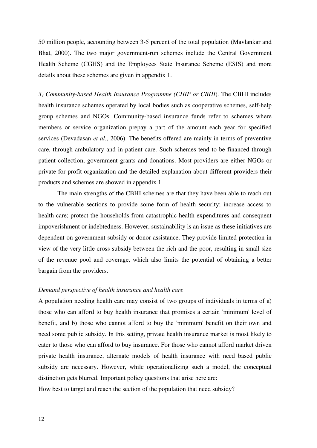50 million people, accounting between 3-5 percent of the total population (Mavlankar and Bhat, 2000). The two major government-run schemes include the Central Government Health Scheme (CGHS) and the Employees State Insurance Scheme (ESIS) and more details about these schemes are given in appendix 1.

*3) Community-based Health Insurance Programme (CHIP or CBHI*). The CBHI includes health insurance schemes operated by local bodies such as cooperative schemes, self-help group schemes and NGOs. Community-based insurance funds refer to schemes where members or service organization prepay a part of the amount each year for specified services (Devadasan *et al.*, 2006). The benefits offered are mainly in terms of preventive care, through ambulatory and in-patient care. Such schemes tend to be financed through patient collection, government grants and donations. Most providers are either NGOs or private for-profit organization and the detailed explanation about different providers their products and schemes are showed in appendix 1.

The main strengths of the CBHI schemes are that they have been able to reach out to the vulnerable sections to provide some form of health security; increase access to health care; protect the households from catastrophic health expenditures and consequent impoverishment or indebtedness. However, sustainability is an issue as these initiatives are dependent on government subsidy or donor assistance. They provide limited protection in view of the very little cross subsidy between the rich and the poor, resulting in small size of the revenue pool and coverage, which also limits the potential of obtaining a better bargain from the providers.

# *Demand perspective of health insurance and health care*

A population needing health care may consist of two groups of individuals in terms of a) those who can afford to buy health insurance that promises a certain 'minimum' level of benefit, and b) those who cannot afford to buy the 'minimum' benefit on their own and need some public subsidy. In this setting, private health insurance market is most likely to cater to those who can afford to buy insurance. For those who cannot afford market driven private health insurance, alternate models of health insurance with need based public subsidy are necessary. However, while operationalizing such a model, the conceptual distinction gets blurred. Important policy questions that arise here are:

How best to target and reach the section of the population that need subsidy?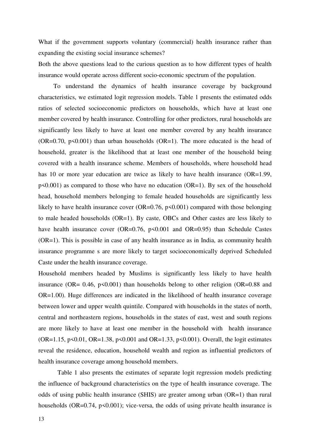What if the government supports voluntary (commercial) health insurance rather than expanding the existing social insurance schemes?

Both the above questions lead to the curious question as to how different types of health insurance would operate across different socio-economic spectrum of the population.

To understand the dynamics of health insurance coverage by background characteristics, we estimated logit regression models. Table 1 presents the estimated odds ratios of selected socioeconomic predictors on households, which have at least one member covered by health insurance. Controlling for other predictors, rural households are significantly less likely to have at least one member covered by any health insurance (OR=0.70,  $p$ <0.001) than urban households (OR=1). The more educated is the head of household, greater is the likelihood that at least one member of the household being covered with a health insurance scheme. Members of households, where household head has 10 or more year education are twice as likely to have health insurance (OR=1.99,  $p<0.001$ ) as compared to those who have no education (OR=1). By sex of the household head, household members belonging to female headed households are significantly less likely to have health insurance cover (OR=0.76,  $p \le 0.001$ ) compared with those belonging to male headed households (OR=1). By caste, OBCs and Other castes are less likely to have health insurance cover (OR=0.76, p<0.001 and OR=0.95) than Schedule Castes (OR=1). This is possible in case of any health insurance as in India, as community health insurance programme s are more likely to target socioeconomically deprived Scheduled Caste under the health insurance coverage.

Household members headed by Muslims is significantly less likely to have health insurance (OR=  $0.46$ ,  $p \le 0.001$ ) than households belong to other religion (OR= $0.88$  and OR=1.00). Huge differences are indicated in the likelihood of health insurance coverage between lower and upper wealth quintile. Compared with households in the states of north, central and northeastern regions, households in the states of east, west and south regions are more likely to have at least one member in the household with health insurance (OR=1.15, p<0.01, OR=1.38, p<0.001 and OR=1.33, p<0.001). Overall, the logit estimates reveal the residence, education, household wealth and region as influential predictors of health insurance coverage among household members.

Table 1 also presents the estimates of separate logit regression models predicting the influence of background characteristics on the type of health insurance coverage. The odds of using public health insurance (SHIS) are greater among urban (OR=1) than rural households ( $OR=0.74$ ,  $p<0.001$ ); vice-versa, the odds of using private health insurance is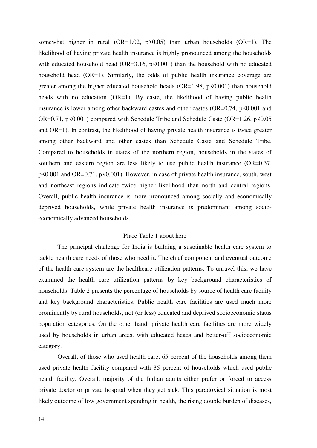somewhat higher in rural  $(OR=1.02, p>0.05)$  than urban households  $(OR=1)$ . The likelihood of having private health insurance is highly pronounced among the households with educated household head (OR=3.16,  $p<0.001$ ) than the household with no educated household head (OR=1). Similarly, the odds of public health insurance coverage are greater among the higher educated household heads  $(OR=1.98, p<0.001)$  than household heads with no education (OR=1). By caste, the likelihood of having public health insurance is lower among other backward castes and other castes  $(OR=0.74, p<0.001$  and OR=0.71, p<0.001) compared with Schedule Tribe and Schedule Caste (OR=1.26, p<0.05 and OR=1). In contrast, the likelihood of having private health insurance is twice greater among other backward and other castes than Schedule Caste and Schedule Tribe. Compared to households in states of the northern region, households in the states of southern and eastern region are less likely to use public health insurance (OR=0.37, p<0.001 and OR=0.71, p<0.001). However, in case of private health insurance, south, west and northeast regions indicate twice higher likelihood than north and central regions. Overall, public health insurance is more pronounced among socially and economically deprived households, while private health insurance is predominant among socioeconomically advanced households.

## Place Table 1 about here

The principal challenge for India is building a sustainable health care system to tackle health care needs of those who need it. The chief component and eventual outcome of the health care system are the healthcare utilization patterns. To unravel this, we have examined the health care utilization patterns by key background characteristics of households. Table 2 presents the percentage of households by source of health care facility and key background characteristics. Public health care facilities are used much more prominently by rural households, not (or less) educated and deprived socioeconomic status population categories. On the other hand, private health care facilities are more widely used by households in urban areas, with educated heads and better-off socioeconomic category.

Overall, of those who used health care, 65 percent of the households among them used private health facility compared with 35 percent of households which used public health facility. Overall, majority of the Indian adults either prefer or forced to access private doctor or private hospital when they get sick. This paradoxical situation is most likely outcome of low government spending in health, the rising double burden of diseases,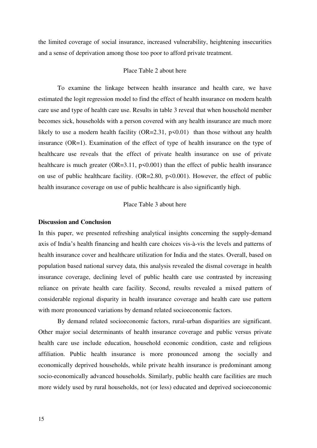the limited coverage of social insurance, increased vulnerability, heightening insecurities and a sense of deprivation among those too poor to afford private treatment.

## Place Table 2 about here

To examine the linkage between health insurance and health care, we have estimated the logit regression model to find the effect of health insurance on modern health care use and type of health care use. Results in table 3 reveal that when household member becomes sick, households with a person covered with any health insurance are much more likely to use a modern health facility  $(OR=2.31, p<0.01)$  than those without any health insurance (OR=1). Examination of the effect of type of health insurance on the type of healthcare use reveals that the effect of private health insurance on use of private healthcare is much greater ( $OR=3.11$ ,  $p<0.001$ ) than the effect of public health insurance on use of public healthcare facility.  $(OR=2.80, p<0.001)$ . However, the effect of public health insurance coverage on use of public healthcare is also significantly high.

## Place Table 3 about here

#### **Discussion and Conclusion**

In this paper, we presented refreshing analytical insights concerning the supply-demand axis of India's health financing and health care choices vis-à-vis the levels and patterns of health insurance cover and healthcare utilization for India and the states. Overall, based on population based national survey data, this analysis revealed the dismal coverage in health insurance coverage, declining level of public health care use contrasted by increasing reliance on private health care facility. Second, results revealed a mixed pattern of considerable regional disparity in health insurance coverage and health care use pattern with more pronounced variations by demand related socioeconomic factors.

By demand related socioeconomic factors, rural-urban disparities are significant. Other major social determinants of health insurance coverage and public versus private health care use include education, household economic condition, caste and religious affiliation. Public health insurance is more pronounced among the socially and economically deprived households, while private health insurance is predominant among socio-economically advanced households. Similarly, public health care facilities are much more widely used by rural households, not (or less) educated and deprived socioeconomic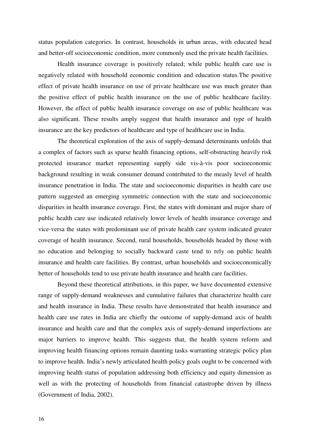status population categories. In contrast, households in urban areas, with educated head and better-off socioeconomic condition, more commonly used the private health facilities.

Health insurance coverage is positively related; while public health care use is negatively related with household economic condition and education status.The positive effect of private health insurance on use of private healthcare use was much greater than the positive effect of public health insurance on the use of public healthcare facility. However, the effect of public health insurance coverage on use of public healthcare was also significant. These results amply suggest that health insurance and type of health insurance are the key predictors of healthcare and type of healthcare use in India.

The theoretical exploration of the axis of supply-demand determinants unfolds that a complex of factors such as sparse health financing options, self-obstructing heavily risk protected insurance market representing supply side vis-à-vis poor socioeconomic background resulting in weak consumer demand contributed to the measly level of health insurance penetration in India. The state and socioeconomic disparities in health care use pattern suggested an emerging symmetric connection with the state and socioeconomic disparities in health insurance coverage. First, the states with dominant and major share of public health care use indicated relatively lower levels of health insurance coverage and vice-versa the states with predominant use of private health care system indicated greater coverage of health insurance. Second, rural households, households headed by those with no education and belonging to socially backward caste tend to rely on public health insurance and health care facilities. By contrast, urban households and socioeconomically better of households tend to use private health insurance and health care facilities.

Beyond these theoretical attributions, in this paper, we have documented extensive range of supply-demand weaknesses and cumulative failures that characterize health care and health insurance in India. These results have demonstrated that health insurance and health care use rates in India are chiefly the outcome of supply-demand axis of health insurance and health care and that the complex axis of supply-demand imperfections are major barriers to improve health. This suggests that, the health system reform and improving health financing options remain daunting tasks warranting strategic policy plan to improve health. India's newly articulated health policy goals ought to be concerned with improving health status of population addressing both efficiency and equity dimension as well as with the protecting of households from financial catastrophe driven by illness (Government of India, 2002).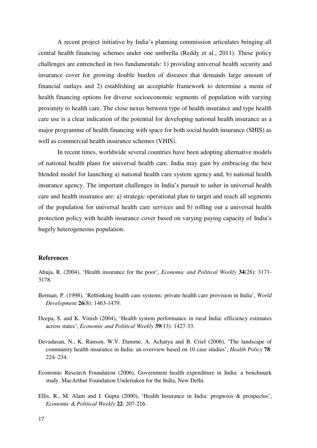A recent project initiative by India's planning commission articulates bringing all central health financing schemes under one umbrella (Reddy et al., 2011). These policy challenges are entrenched in two fundamentals: 1) providing universal health security and insurance cover for growing double burden of diseases that demands large amount of financial outlays and 2) establishing an acceptable framework to determine a menu of health financing options for diverse socioeconomic segments of population with varying proximity to health care. The close nexus between type of health insurance and type health care use is a clear indication of the potential for developing national health insurance as a major programme of health financing with space for both social health insurance (SHIS) as well as commercial health insurance schemes (VHIS).

In recent times, worldwide several countries have been adopting alternative models of national health plans for universal health care. India may gain by embracing the best blended model for launching a) national health care system agency and, b) national health insurance agency. The important challenges in India's pursuit to usher in universal health care and health insurance are: a) strategic operational plan to target and reach all segments of the population for universal health care services and b) rolling out a universal health protection policy with health insurance cover based on varying paying capacity of India's hugely heterogeneous population.

## **References**

Ahuja, R. (2004), 'Health insurance for the poor', *Economic and Political Weekly* **34**(28): 3171- 3178.

- Berman, P. (1998), 'Rethinking health care systems: private health care provision in India', *World Development* **26**(8): 1463-1479.
- Deepa, S. and K. Vinish (2004), 'Health system performance in rural India: efficiency estimates across states', *Economic and Political Weekly* **39**(13): 1427-33.
- Devadasan, N., K. Ranson, W.V. Damme, A. Acharya and B. Criel (2006), 'The landscape of community health insurance in India: an overview based on 10 case studies', *Health Policy* **78**: 224–234.
- Economic Research Foundation (2006), Government health expenditure in India: a benchmark study. MacArthur Foundation Undertaken for the India, New Delhi.
- Ellis, R., M. Alam and I. Gupta (2000), 'Health Insurance in India: prognosis & prospectus', *Economic & Political Weekly* **22**: 207-216.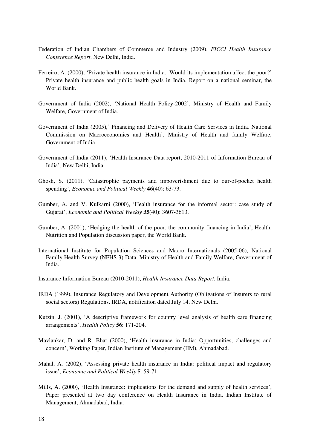- Federation of Indian Chambers of Commerce and Industry (2009), *FICCI Health Insurance Conference Report*. New Delhi, India.
- Ferreiro, A. (2000), 'Private health insurance in India: Would its implementation affect the poor?' Private health insurance and public health goals in India. Report on a national seminar, the World Bank.
- Government of India (2002), 'National Health Policy-2002', Ministry of Health and Family Welfare, Government of India.
- Government of India (2005),' Financing and Delivery of Health Care Services in India. National Commission on Macroeconomics and Health', Ministry of Health and family Welfare, Government of India.
- Government of India (2011), 'Health Insurance Data report, 2010-2011 of Information Bureau of India', New Delhi, India.
- Ghosh, S. (2011), 'Catastrophic payments and impoverishment due to our-of-pocket health spending', *Economic and Political Weekly* **46**(40): 63-73.
- Gumber, A. and V. Kulkarni (2000), 'Health insurance for the informal sector: case study of Gujarat', *Economic and Political Weekly* **35**(40): 3607-3613.
- Gumber, A. (2001), 'Hedging the health of the poor: the community financing in India', Health, Nutrition and Population discussion paper, the World Bank.
- International Institute for Population Sciences and Macro Internationals (2005-06), National Family Health Survey (NFHS 3) Data. Ministry of Health and Family Welfare, Government of India.

Insurance Information Bureau (2010-2011), *Health Insurance Data Report.* India.

- IRDA (1999), Insurance Regulatory and Development Authority (Obligations of Insurers to rural social sectors) Regulations. IRDA, notification dated July 14, New Delhi.
- Kutzin, J. (2001), 'A descriptive framework for country level analysis of health care financing arrangements', *Health Policy* **56**: 171-204.
- Mavlankar, D. and R. Bhat (2000), 'Health insurance in India: Opportunities, challenges and concern', Working Paper, Indian Institute of Management (IIM), Ahmadabad.
- Mahal, A. (2002), 'Assessing private health insurance in India: political impact and regulatory issue', *Economic and Political Weekly* **5**: 59-71.
- Mills, A. (2000), 'Health Insurance: implications for the demand and supply of health services', Paper presented at two day conference on Health Insurance in India, Indian Institute of Management, Ahmadabad, India.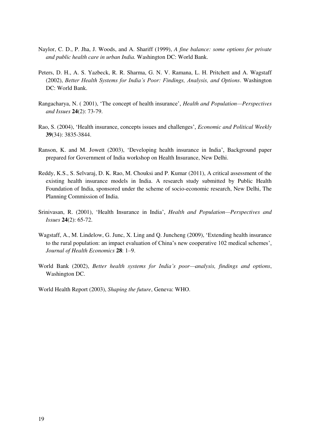- Naylor, C. D., P. Jha, J. Woods, and A. Shariff (1999), *A fine balance: some options for private and public health care in urban India.* Washington DC: World Bank.
- Peters, D. H., A. S. Yazbeck, R. R. Sharma, G. N. V. Ramana, L. H. Pritchett and A. Wagstaff (2002), *Better Health Systems for India's Poor: Findings, Analysis, and Options*. Washington DC: World Bank.
- Rangacharya, N. ( 2001), 'The concept of health insurance', *Health and Population—Perspectives and Issues* **24**(2): 73-79.
- Rao, S. (2004), 'Health insurance, concepts issues and challenges', *Economic and Political Weekly* **39**(34): 3835-3844.
- Ranson, K. and M. Jowett (2003), 'Developing health insurance in India', Background paper prepared for Government of India workshop on Health Insurance, New Delhi.
- Reddy, K.S., S. Selvaraj, D. K. Rao, M. Chouksi and P. Kumar (2011), A critical assessment of the existing health insurance models in India. A research study submitted by Public Health Foundation of India, sponsored under the scheme of socio-economic research, New Delhi, The Planning Commission of India.
- Srinivasan, R. (2001), 'Health Insurance in India', *Health and Population—Perspectives and Issues* **24**(2): 65-72.
- Wagstaff, A., M. Lindelow, G. Junc, X. Ling and Q. Juncheng (2009), 'Extending health insurance to the rural population: an impact evaluation of China's new cooperative 102 medical schemes', *Journal of Health Economics* **28**: 1–9.
- World Bank (2002), *Better health systems for India's poor—analysis, findings and options*, Washington DC.

World Health Report (2003), *Shaping the future*, Geneva: WHO.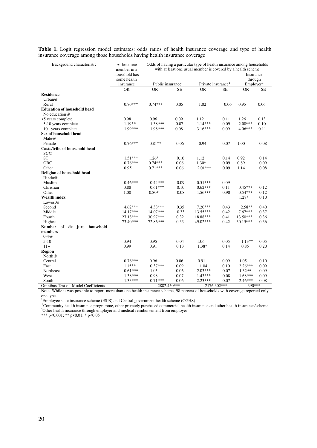| Background characteristic             | At least one<br>member in a<br>household has<br>some health | Odds of having a particular type of health insurance among households<br>with at least one usual member is covered by a health scheme<br>Insurance |           |                                |           |                                  |           |
|---------------------------------------|-------------------------------------------------------------|----------------------------------------------------------------------------------------------------------------------------------------------------|-----------|--------------------------------|-----------|----------------------------------|-----------|
|                                       | insurance                                                   | Public insurance <sup>1</sup>                                                                                                                      |           | Private insurance <sup>2</sup> |           | through<br>Emplayer <sup>3</sup> |           |
|                                       | <b>OR</b>                                                   | <b>OR</b>                                                                                                                                          | <b>SE</b> | OR                             | <b>SE</b> | <b>OR</b>                        | <b>SE</b> |
| <b>Residence</b>                      |                                                             |                                                                                                                                                    |           |                                |           |                                  |           |
| Urban $@$                             |                                                             |                                                                                                                                                    |           |                                |           |                                  |           |
| Rural                                 | $0.70***$                                                   | $0.74***$                                                                                                                                          | 0.05      | 1.02                           | 0.06      | 0.95                             | 0.06      |
| <b>Education of household head</b>    |                                                             |                                                                                                                                                    |           |                                |           |                                  |           |
| No education@                         |                                                             |                                                                                                                                                    |           |                                |           |                                  |           |
| <5 years complete                     | 0.98                                                        | 0.96                                                                                                                                               | 0.09      | 1.12                           | 0.11      | 1.26                             | 0.13      |
| 5-10 years complete                   | $1.19**$                                                    | $1.38***$                                                                                                                                          | 0.07      | $1.14***$                      | 0.09      | $2.00***$                        | 0.10      |
| 10+ years complete                    | 1.99***                                                     | 1.98***                                                                                                                                            | 0.08      | $3.16***$                      | 0.09      | $4.06***$                        | 0.11      |
| Sex of household head<br>Male@        |                                                             |                                                                                                                                                    |           |                                |           |                                  |           |
| Female                                | $0.76***$                                                   | $0.81**$                                                                                                                                           | 0.06      | 0.94                           | 0.07      | 1.00                             | 0.08      |
| Caste/tribe of household head<br>SC@  |                                                             |                                                                                                                                                    |           |                                |           |                                  |           |
| <b>ST</b>                             | $1.51***$                                                   | $1.26*$                                                                                                                                            | 0.10      | 1.12                           | 0.14      | 0.92                             | 0.14      |
| <b>OBC</b>                            | $0.76***$                                                   | $0.74***$                                                                                                                                          | 0.06      | $1.30*$                        | 0.09      | 0.89                             | 0.09      |
| Other                                 | 0.95                                                        | $0.71***$                                                                                                                                          | 0.06      | $2.01***$                      | 0.09      | 1.14                             | 0.08      |
| Religion of household head<br>Hindu@  |                                                             |                                                                                                                                                    |           |                                |           |                                  |           |
| Muslim                                | $0.46***$                                                   | $0.44***$                                                                                                                                          | 0.09      | $0.51***$                      | 0.09      |                                  |           |
| Christian                             | 0.88                                                        | $0.61***$                                                                                                                                          | 0.10      | $0.62***$                      | 0.11      | $0.45***$                        | 0.12      |
| Other                                 | 1.00                                                        | $0.80*$                                                                                                                                            | 0.08      | $1.56***$                      | 0.90      | $0.54***$                        | 0.12      |
| <b>Wealth index</b>                   |                                                             |                                                                                                                                                    |           |                                |           | 1.28*                            | 0.10      |
| Lowest@                               |                                                             |                                                                                                                                                    |           |                                |           |                                  |           |
| Second                                | $4.62***$                                                   | 4.38***                                                                                                                                            | 0.35      | $7.20***$                      | 0.43      | $2.58**$                         | 0.40      |
| Middle                                | 14.17***                                                    | 14.07***                                                                                                                                           | 0.33      | 13.55***                       | 0.42      | $7.67***$                        | 0.37      |
| Fourth                                | 27.18***                                                    | 30.97***                                                                                                                                           | 0.32      | 18.88***                       | 0.41      | $13.50***$                       | 0.36      |
| Highest                               | 73.40***                                                    | 72.86***                                                                                                                                           | 0.33      | 49.02***                       | 0.42      | $30.15***$                       | 0.36      |
| <b>Number</b><br>of de jure household |                                                             |                                                                                                                                                    |           |                                |           |                                  |           |
| members                               |                                                             |                                                                                                                                                    |           |                                |           |                                  |           |
| $0 - 4@$<br>$5-10$                    | 0.94                                                        | 0.95                                                                                                                                               | 0.04      | 1.06                           | 0.05      | $1.13**$                         | 0.05      |
| $11+$                                 | 0.99                                                        | 0.91                                                                                                                                               | 0.13      | 1.38*                          | 0.14      | 0.85                             | 0.20      |
| <b>Region</b>                         |                                                             |                                                                                                                                                    |           |                                |           |                                  |           |
| North@                                |                                                             |                                                                                                                                                    |           |                                |           |                                  |           |
| Central                               | $0.76***$                                                   | 0.96                                                                                                                                               | 0.06      | 0.91                           | 0.09      | 1.05                             | 0.10      |
| East                                  | $1.15***$                                                   | $0.37***$                                                                                                                                          | 0.09      | 1.04                           | 0.10      | $2.26***$                        | 0.09      |
| Northeast                             | $0.61***$                                                   | 1.05                                                                                                                                               | 0.06      | $2.03***$                      | 0.07      | $1.32**$                         | 0.09      |
| West                                  | $1.38***$                                                   | 0.98                                                                                                                                               | 0.07      | $1.43***$                      | 0.08      | $1.68***$                        | 0.09      |
| South                                 | $1.33***$                                                   | $0.71***$                                                                                                                                          | 0.06      | $2.23***$                      | 0.07      | 2.46***                          | 0.08      |
| Omnibus Test of Model Coefficients    |                                                             | 2882.450***                                                                                                                                        |           | $2176.302***$                  |           | 390***                           |           |

**Table 1.** Logit regression model estimates: odds ratios of health insurance coverage and type of health insurance coverage among those households having health insurance coverage

Note: While it was possible to report more than one health insurance scheme, 98 percent of households with coverage reported only one type.

<sup>1</sup>Employee state insurance scheme (ESIS) and Central government health scheme (CGHS)

<sup>2</sup>Community health insurance programme, other privately purchased commercial health insurance and other health insurance/scheme <sup>3</sup>Other health insurance through employer and medical reimbursement from employer

\*\*\* p<0.001; \*\* p<0.01; \* p<0.05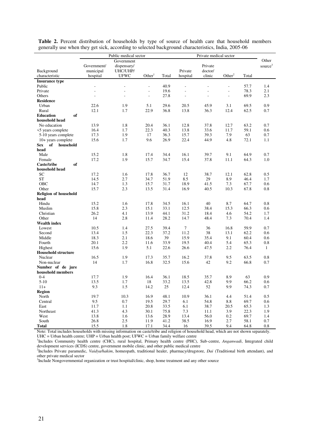|                               | Public medical sector |             |                    | Private medical sector |                          |                          |                    |       |                     |
|-------------------------------|-----------------------|-------------|--------------------|------------------------|--------------------------|--------------------------|--------------------|-------|---------------------|
|                               | Government            |             |                    |                        |                          |                          | Other              |       |                     |
|                               | Government/           | dispensary/ |                    |                        |                          | Private                  |                    |       | source <sup>3</sup> |
| Background                    | municipal             | UHC/UHP/    |                    |                        | Private                  | doctor/                  |                    |       |                     |
| characteristic                | hospital              | <b>UFWC</b> | Other <sup>1</sup> | Total                  | hospital                 | clinic                   | Other <sup>2</sup> | Total |                     |
| <b>Insurance type</b>         |                       |             |                    |                        |                          |                          |                    |       |                     |
| Public                        | L,                    |             | L,                 | 40.9                   | $\sim$                   | ÷,                       | $\overline{a}$     | 57.7  | 1.4                 |
| Private                       | ÷.                    | L,          | $\overline{a}$     | 19.6                   | $\overline{\phantom{a}}$ | $\overline{\phantom{a}}$ | $\overline{a}$     | 78.3  | 2.1                 |
| Others                        | L,                    | ÷,          | $\overline{a}$     | 27.8                   | $\overline{\phantom{a}}$ | L,                       | $\overline{a}$     | 69.9  | 2.3                 |
| <b>Residence</b>              |                       |             |                    |                        |                          |                          |                    |       |                     |
| Urban                         | 22.6                  | 1.9         | 5.1                | 29.6                   | 20.5                     | 45.9                     | 3.1                | 69.5  | 0.9                 |
| Rural                         | 12.1                  | 1.7         | 22.9               | 36.8                   | 13.8                     | 36.3                     | 12.4               | 62.5  | 0.7                 |
| of<br><b>Education</b>        |                       |             |                    |                        |                          |                          |                    |       |                     |
| household head                |                       |             |                    |                        |                          |                          |                    |       |                     |
| No education                  | 13.9                  | 1.8         | 20.4               | 36.1                   | 12.8                     | 37.8                     | 12.7               | 63.2  | 0.7                 |
| <5 years complete             | 16.4                  | 1.7         | 22.3               | 40.3                   | 13.8                     | 33.6                     | 11.7               | 59.1  | 0.6                 |
| 5-10 years complete           | 17.3                  | 1.9         | 17                 | 36.3                   | 15.7                     | 39.3                     | 7.9                | 63    | 0.7                 |
| 10+ years complete            | 15.6                  | 1.7         | 9.6                | 26.9                   | 22.4                     | 44.9                     | 4.8                | 72.1  | 1.1                 |
| of<br>household<br><b>Sex</b> |                       |             |                    |                        |                          |                          |                    |       |                     |
| head                          |                       |             |                    |                        |                          |                          |                    |       |                     |
| Male                          | 15.2                  | 1.8         | 17.4               | 34.4                   | 16.1                     | 39.7                     | 9.1                | 64.9  | 0.7                 |
| Female                        | 17.2                  | 1.9         | 15.7               | 34.7                   | 15.4                     | 37.8                     | 11.1               | 64.3  | 1.0                 |
| Caste/tribe<br>of             |                       |             |                    |                        |                          |                          |                    |       |                     |
| household head                |                       |             |                    |                        |                          |                          |                    |       |                     |
| SC                            | 17.2                  | 1.6         | 17.8               | 36.7                   | 12                       | 38.7                     | 12.1               | 62.8  | 0.5                 |
| <b>ST</b>                     | 14.5                  | 2.7         | 34.7               | 51.9                   | 8.5                      | 29                       | 8.9                | 46.4  | 1.7                 |
| OBC                           | 14.7                  | 1.3         | 15.7               | 31.7                   | 18.9                     | 41.5                     | 7.3                | 67.7  | 0.6                 |
| Other                         | 15.7                  | 2.3         | 13.5               | 31.4                   | 16.9                     | 40.5                     | 10.3               | 67.8  | 0.8                 |
| <b>Religion of household</b>  |                       |             |                    |                        |                          |                          |                    |       |                     |
| head                          |                       |             |                    |                        |                          |                          |                    |       |                     |
| Hindu                         | 15.2                  | 1.6         | 17.8               | 34.5                   | 16.1                     | 40                       | 8.7                | 64.7  | 0.8                 |
| Muslim                        | 15.8                  | 2.3         | 15.1               | 33.1                   | 12.5                     | 38.4                     | 15.3               | 66.3  | 0.6                 |
| Christian                     | 26.2                  | 4.1         | 13.9               | 44.1                   | 31.2                     | 18.4                     | 4.6                | 54.2  | 1.7                 |
| Other                         | 14                    | 2.8         | 11.4               | 28.2                   | 14.7                     | 48.4                     | 7.3                | 70.4  | 1.4                 |
| <b>Wealth index</b>           |                       |             |                    |                        |                          |                          |                    |       |                     |
| Lowest                        | 10.5                  | 1.4         | 27.5               | 39.4                   | $\tau$                   | 36                       | 16.8               | 59.9  | 0.7                 |
| Second                        | 13.4                  | 1.5         | 22.3               | 37.2                   | 11.2                     | 38                       | 13.1               | 62.2  | 0.6                 |
| Middle                        | 18.3                  | 2.1         | 18.6               | 39                     | 15.9                     | 35.4                     | 9.1                | 60.4  | 0.6                 |
| Fourth                        | 20.1                  | 2.2         | 11.6               | 33.9                   | 19.5                     | 40.4                     | 5.4                | 65.3  | 0.8                 |
| Highest                       | 15.6                  | 1.9         | 5.1                | 22.6                   | 26.6                     | 47.5                     | 2.2                | 76.4  | $\mathbf{1}$        |
| <b>Household structure</b>    |                       |             |                    |                        |                          |                          |                    |       |                     |
| Nuclear                       | 16.5                  | 1.9         | 17.3               | 35.7                   | 16.2                     | 37.8                     | 9.5                | 63.5  | $\rm 0.8$           |
| Non-nuclear                   | 14                    | 1.7         | 16.8               | 32.5                   | 15.6                     | 42                       | 9.2                | 66.8  | 0.7                 |
| Number of de jure             |                       |             |                    |                        |                          |                          |                    |       |                     |
| household members             |                       |             |                    |                        |                          |                          |                    |       |                     |
| $0 - 4$                       | 17.7                  | 1.9         | 16.4               | 36.1                   | 18.5                     | 35.7                     | 8.9                | 63    | 0.9                 |
| $5 - 10$                      | 13.5                  | 1.7         | 18                 | 33.2                   | 13.5                     | 42.8                     | 9.9                | 66.2  | 0.6                 |
| $11+$                         | 9.3                   | 1.5         | 14.2               | 25                     | 12.4                     | 52                       | 9.9                | 74.3  | 0.7                 |
| Region                        |                       |             |                    |                        |                          |                          |                    |       |                     |
| North                         | 19.7                  | 10.3        | 16.9               | 48.1                   | 10.9                     | 36.1                     | 4.4                | 51.4  | 0.5                 |
| Central                       | 9.5                   | $0.7\,$     | 19.5               | 29.7                   | 6.1                      | 54.8                     | $\ \, 8.8$         | 69.7  | 0.6                 |
| East                          | 11.7                  | 1.1         | 20.8               | 33.5                   | 6.1                      | 38.7                     | 20.5               | 65.3  | 1.3                 |
| Northeast                     | 41.3                  | 4.3         | 30.1               | 75.8                   | 7.3                      | 11.1                     | 3.9                | 22.3  | 1.9                 |
| West                          | 13.8                  | 1.6         | 13.6               | 28.9                   | 13.4                     | 56.0                     | 0.2                | 69.7  | 1.4                 |
| South                         | 26.8                  | $2.5\,$     | 11.9               | 41.2                   | 38.5                     | 16.9                     | 2.7                | 58.1  | 0.7                 |
| <b>Total</b>                  | 15.5                  | 1.8         | 17.1               | 34.4                   | 16                       | 39.5                     | 9.4                | 64.8  | 0.8                 |

**Table 2.** Percent distribution of households by type of source of health care that household members generally use when they get sick, according to selected background characteristics, India, 2005-06

Note: Total includes households with missing information on caste/tribe and religion of household head, which are not shown separately. UHC = Urban health centre; UHP = Urban health post; UFWC = Urban family welfare centre

<sup>1</sup>Includes Community health centre (CHC), rural hospital, Primary health centre (PHC), Sub-centre, *Anganwadi*, Integrated child development services (ICDS) centre, government mobile clinic, and other public medical centre

2 Includes Private paramedic, *Vaidya/hakim*, homeopath, traditional healer, pharmacy/drugstore, *Dai* (Traditional birth attendant), and other private medical sector<br><sup>3</sup>Include Nongovernmental organization or trust hospital/clinic, shop, home treatment and any other source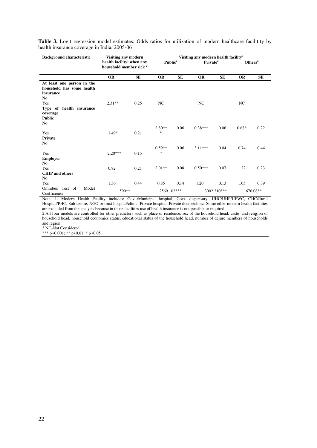Table 3. Logit regression model estimates: Odds ratios for utilization of modern healthcare facilitity by health insurance coverage in India, 2005-06

| <b>Background characteristic</b>                                                       | Visiting any modern                                                         |           | Visiting any modern health facility <sup>1</sup> |           |                      |             |                     |           |
|----------------------------------------------------------------------------------------|-----------------------------------------------------------------------------|-----------|--------------------------------------------------|-----------|----------------------|-------------|---------------------|-----------|
|                                                                                        | health facility <sup>1</sup> when any<br>household member sick <sup>2</sup> |           | Public <sup>2</sup>                              |           | Private <sup>2</sup> |             | Others <sup>2</sup> |           |
|                                                                                        | <b>OR</b>                                                                   | <b>SE</b> | <b>OR</b>                                        | <b>SE</b> | <b>OR</b>            | <b>SE</b>   | <b>OR</b>           | <b>SE</b> |
| At least one person in the<br>household has some health<br>insurance<br>N <sub>0</sub> |                                                                             |           |                                                  |           |                      |             |                     |           |
| Yes<br>Type of health insurance<br>coverage<br><b>Public</b>                           | $2.31**$                                                                    | 0.25      | NC                                               |           | NC                   |             | NC                  |           |
| N <sub>0</sub><br>Yes<br>Private<br>N <sub>0</sub>                                     | $1.49*$                                                                     | 0.21      | $2.80**$<br>$\ast$                               | 0.06      | $0.38***$            | 0.06        | $0.68*$             | 0.22      |
| Yes<br><b>Employer</b>                                                                 | $2.20***$                                                                   | 0.15      | $0.59**$<br>$\ast$                               | 0.06      | $3.11***$            | 0.04        | 0.74                | 0.44      |
| N <sub>o</sub><br>Yes<br><b>CHIP</b> and others                                        | 0.82                                                                        | 0.21      | $2.01**$                                         | 0.08      | $0.50***$            | 0.07        | 1.22                | 0.23      |
| N <sub>o</sub><br>Yes                                                                  | 1.36                                                                        | 0.44      | 0.85                                             | 0.14      | 1.20                 | 0.13        | 1.05                | 0.39      |
| Model<br>Omnibus<br>Test of<br>Coefficients                                            | 590**                                                                       |           | 2569.102***                                      |           |                      | 3002.210*** |                     | 670.08**  |

Note: 1. Modern Health Facility includes: Govt./Municipal hospital, Govt. dispensary, UHC/UHP/UFWC, CHC/Rural Hospital/PHC, Sub-centre, NGO or trust hospital/clinic, Private hospital, Private doctor/clinic. Some other modern health facilities are excluded from the analysis because in those facilities use of health insurance is not possible or required.

2.All four models are controlled for other predictors such as place of residence, sex of the household head, caste and religion of household head, household economics status, educational status of the household head, number of dejure members of households and region.

3.NC-Not Considered

\*\*\* p<0.001; \*\* p<0.01; \* p<0.05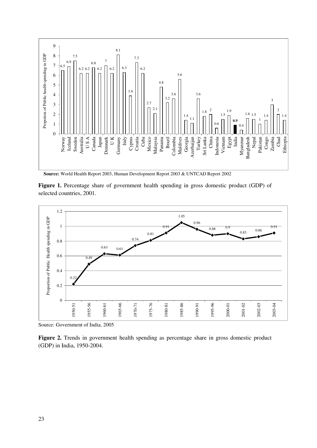

**Source:** World Health Report 2003, Human Development Report 2003 & UNTCAD Report 2002

Figure 1. Percentage share of government health spending in gross domestic product (GDP) of selected countries, 2001.



Source: Government of India, 2005

**Figure 2.** Trends in government health spending as percentage share in gross domestic product (GDP) in India, 1950-2004.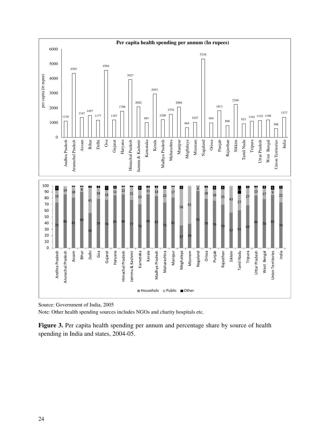

Source: Government of India, 2005

Note: Other health spending sources includes NGOs and charity hospitals etc.

Figure 3. Per capita health spending per annum and percentage share by source of health spending in India and states, 2004-05.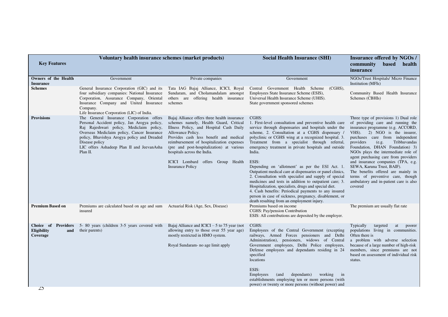| <b>Key Features</b>                                   | Voluntary health insurance schemes (market products)                                                                                                                                                                                                                                                           |                                                                                                                                                                                                                                                                                                                                                                                           | <b>Social Health Insurance (SHI)</b>                                                                                                                                                                                                                                                                                                                                                                                                                                                                                                                                                                                                                                                                                                                                                                                      | <b>Insurance offered by NGOs /</b><br>community<br><b>based</b><br>health<br><i>insurance</i>                                                                                                                                                                                                                                                                                                                                                                                                                                                 |
|-------------------------------------------------------|----------------------------------------------------------------------------------------------------------------------------------------------------------------------------------------------------------------------------------------------------------------------------------------------------------------|-------------------------------------------------------------------------------------------------------------------------------------------------------------------------------------------------------------------------------------------------------------------------------------------------------------------------------------------------------------------------------------------|---------------------------------------------------------------------------------------------------------------------------------------------------------------------------------------------------------------------------------------------------------------------------------------------------------------------------------------------------------------------------------------------------------------------------------------------------------------------------------------------------------------------------------------------------------------------------------------------------------------------------------------------------------------------------------------------------------------------------------------------------------------------------------------------------------------------------|-----------------------------------------------------------------------------------------------------------------------------------------------------------------------------------------------------------------------------------------------------------------------------------------------------------------------------------------------------------------------------------------------------------------------------------------------------------------------------------------------------------------------------------------------|
| Owners of the Health<br><b>Insurance</b>              | Government                                                                                                                                                                                                                                                                                                     | Private companies                                                                                                                                                                                                                                                                                                                                                                         | Government                                                                                                                                                                                                                                                                                                                                                                                                                                                                                                                                                                                                                                                                                                                                                                                                                | NGOs/Trust Hospitals/ Micro Finance<br>Institution (MFIs)                                                                                                                                                                                                                                                                                                                                                                                                                                                                                     |
| <b>Schemes</b>                                        | General Insurance Corporation (GIC) and its<br>four subsidiary companies: National Insurance<br>Corporation, Assurance Company, Oriental<br>Insurance Company and United Insurance<br>Company.<br>Life Insurance Corporation (LIC) of India.                                                                   | Tata IAG Bajaj Alliance, ICICI, Royal<br>Sundaram, and Cholamandalam amongst<br>others are offering health insurance<br>schemes                                                                                                                                                                                                                                                           | Central Government Health Scheme (CGHS),<br>Employees State Insurance Scheme (ESIS),<br>Universal Health Insurance Scheme (UHIS).<br>State government sponsored schemes                                                                                                                                                                                                                                                                                                                                                                                                                                                                                                                                                                                                                                                   | Community Based Health Insurance<br>Schemes (CBHIs)                                                                                                                                                                                                                                                                                                                                                                                                                                                                                           |
| <b>Provisions</b>                                     | The General Insurance Corporation offers<br>Personal Accident policy, Jan Arogya policy,<br>Raj Rajeshwari policy, Mediclaim policy,<br>Overseas Mediclaim policy, Cancer Insurance<br>policy, Bhavishya Arogya policy and Dreaded<br>Disease policy<br>LIC offers Ashadeep Plan II and JeevanAsha<br>Plan II. | Bajaj Alliance offers three health insurance<br>schemes namely, Health Guard, Critical<br>Illness Policy, and Hospital Cash Daily<br>Allowance Policy.<br>Provides cash less benefit and medical<br>reimbursement of hospitalization expenses<br>(pre and post-hospitalization) at various<br>hospitals across the India.<br>ICICI Lombard offers Group Health<br><b>Insurance Policy</b> | CGHS:<br>1. First-level consultation and preventive health care<br>service through dispensaries and hospitals under the<br>scheme, 2. Consultation at a CGHS dispensary /<br>polyclinic or CGHS wing at a recognized hospital. 3.<br>Treatment from a specialist through referral,<br>emergency treatment in private hospitals and outside<br>India.<br>ESIS:<br>Depending on 'allotment' as per the ESI Act. 1.<br>Outpatient medical care at dispensaries or panel clinics,<br>2. Consultation with specialist and supply of special<br>medicines and tests in addition to outpatient care; 3.<br>Hospitalization, specialists, drugs and special diet.<br>4. Cash benefits: Periodical payments to any insured<br>person in case of sickness, pregnancy, disablement, or<br>death resulting from an employment injury. | Three type of provisions 1) Dual role<br>of providing care and running the<br>insurance programme (e.g. ACCORD,<br>VHS). 2) NGO is the insurer,<br>purchases care from independent<br>providers<br>(e.g.<br>Tribhuvandas<br>Foundation, DHAN Foundation) 3)<br>NGOs plays the intermediate role of<br>agent purchasing care from providers<br>and insurance companies (TPA, e.g.<br>SEWA, Karuna Trust, BAIF).<br>The benefits offered are mainly in<br>terms of preventive care, though<br>ambulatory and in-patient care is also<br>covered |
| <b>Premium Based on</b>                               | Premiums are calculated based on age and sum Actuarial Risk (Age, Sex, Disease)<br>insured                                                                                                                                                                                                                     |                                                                                                                                                                                                                                                                                                                                                                                           | Premiums based on income<br>CGHS: Pay/pension Contribution<br>ESIS: All contributions are deposited by the employer.                                                                                                                                                                                                                                                                                                                                                                                                                                                                                                                                                                                                                                                                                                      | The premium are usually flat rate                                                                                                                                                                                                                                                                                                                                                                                                                                                                                                             |
| Choice of Providers<br>Eligibility<br>and<br>Coverage | 5-80 years (children 3-5 years covered with<br>their parents)                                                                                                                                                                                                                                                  | Bajaj Alliance and ICICI $-5$ to 75 year (not<br>allowing entry to those over 55 year age)<br>mostly restricted in HMO system.<br>Royal Sundaram- no age limit apply                                                                                                                                                                                                                      | CGHS:<br>Employees of the Central Government (excepting<br>railways, Armed Forces pensioners and Delhi<br>Administration), pensioners, widows of Central<br>Government employees, Delhi Police employees,<br>Defense employees and dependants residing in 24<br>specified<br>locations<br>ESIS:<br>Employees<br>dependants)<br>working<br>(and<br>$\frac{1}{2}$<br>establishments employing ten or more persons (with<br>power) or twenty or more persons (without power) and                                                                                                                                                                                                                                                                                                                                             | Typically<br>targeted<br>at<br>poorer<br>populations living in communities.<br>Often there is<br>a problem with adverse selection<br>because of a large number of high-risk<br>members, since premiums are not<br>based on assessment of individual risk<br>status.                                                                                                                                                                                                                                                                           |